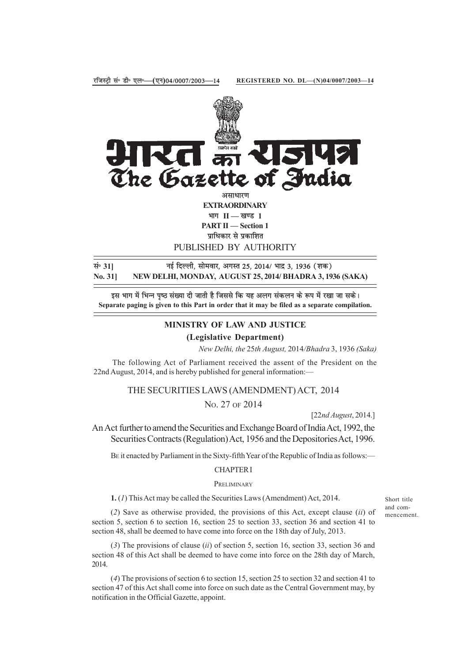

PUBLISHED BY AUTHORITY

**lañ 31] ubZ fnYyh] lkseokj] vxLr 25] 2014@ Hkknz 3] 1936 ¼'kd½ No. 31] NEW DELHI, MONDAY, AUGUST 25, 2014/ BHADRA 3, 1936 (SAKA)**

इस भाग में भिन्न पृष्ठ संख्या दी जाती है जिससे कि यह अलग संकलन के रूप में रखा जा सके। **Separate paging is given to this Part in order that it may be filed as a separate compilation.**

# **MINISTRY OF LAW AND JUSTICE**

**(Legislative Department)**

*New Delhi, the* 25*th August,* 2014*/Bhadra* 3, 1936 *(Saka)*

The following Act of Parliament received the assent of the President on the 22nd August, 2014, and is hereby published for general information:—

#### THE SECURITIES LAWS (AMENDMENT) ACT, 2014

No. 27 OF 2014

[22*nd August*, 2014.]

An Act further to amend the Securities and Exchange Board of India Act, 1992, the Securities Contracts (Regulation) Act, 1956 and the Depositories Act, 1996.

BE it enacted by Parliament in the Sixty-fifth Year of the Republic of India as follows:—

## CHAPTER I

## **PRELIMINARY**

**1.** (*1*) This Act may be called the Securities Laws (Amendment) Act, 2014.

(*2*) Save as otherwise provided, the provisions of this Act, except clause (*ii*) of section 5, section 6 to section 16, section 25 to section 33, section 36 and section 41 to section 48, shall be deemed to have come into force on the 18th day of July, 2013.

(*3*) The provisions of clause (*ii*) of section 5, section 16, section 33, section 36 and section 48 of this Act shall be deemed to have come into force on the 28th day of March, 2014.

(*4*) The provisions of section 6 to section 15, section 25 to section 32 and section 41 to section 47 of this Act shall come into force on such date as the Central Government may, by notification in the Official Gazette, appoint.

Short title and commencement.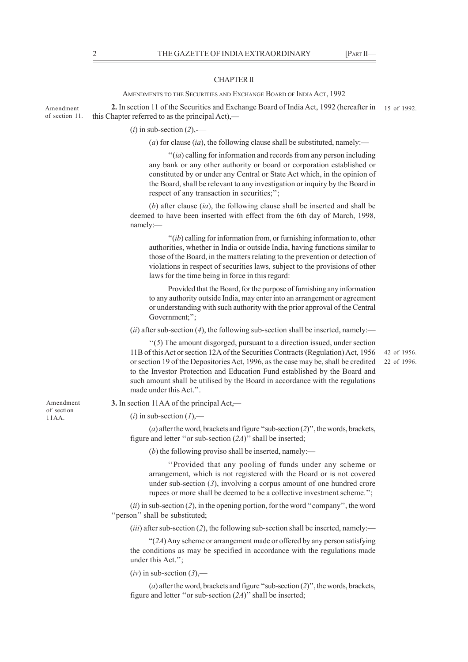#### CHAPTER II

AMENDMENTS TO THE SECURITIES AND EXCHANGE BOARD OF INDIA ACT, 1992

**2.** In section 11 of the Securities and Exchange Board of India Act, 1992 (hereafter in 15 of 1992. this Chapter referred to as the principal Act),— Amendment of section 11.

(*i*) in sub-section (*2*),-—

(*a*) for clause (*ia*), the following clause shall be substituted, namely:—

''(*ia*) calling for information and records from any person including any bank or any other authority or board or corporation established or constituted by or under any Central or State Act which, in the opinion of the Board, shall be relevant to any investigation or inquiry by the Board in respect of any transaction in securities;'';

(*b*) after clause (*ia*), the following clause shall be inserted and shall be deemed to have been inserted with effect from the 6th day of March, 1998, namely:—

''(*ib*) calling for information from, or furnishing information to, other authorities, whether in India or outside India, having functions similar to those of the Board, in the matters relating to the prevention or detection of violations in respect of securities laws, subject to the provisions of other laws for the time being in force in this regard:

Provided that the Board, for the purpose of furnishing any information to any authority outside India, may enter into an arrangement or agreement or understanding with such authority with the prior approval of the Central Government;";

(*ii*) after sub-section (*4*), the following sub-section shall be inserted, namely:—

''(*5*) The amount disgorged, pursuant to a direction issued, under section 11B of this Act or section 12A of the Securities Contracts (Regulation) Act, 1956 or section 19 of the Depositories Act, 1996, as the case may be, shall be credited to the Investor Protection and Education Fund established by the Board and such amount shall be utilised by the Board in accordance with the regulations made under this Act.''.

42 of 1956. 22 of 1996.

Amendment of section 11AA.

### **3.** In section 11AA of the principal Act,—

### $(i)$  in sub-section  $(I)$ ,—

(*a*) after the word, brackets and figure ''sub-section (*2*)'', the words, brackets, figure and letter ''or sub-section (*2A*)'' shall be inserted;

(*b*) the following proviso shall be inserted, namely:—

''Provided that any pooling of funds under any scheme or arrangement, which is not registered with the Board or is not covered under sub-section (*3*), involving a corpus amount of one hundred crore rupees or more shall be deemed to be a collective investment scheme.'';

(*ii*) in sub-section (*2*), in the opening portion, for the word ''company'', the word ''person'' shall be substituted;

 $(iii)$  after sub-section  $(2)$ , the following sub-section shall be inserted, namely:—

"(*2A*) Any scheme or arrangement made or offered by any person satisfying the conditions as may be specified in accordance with the regulations made under this Act.'';

 $(iv)$  in sub-section  $(3)$ ,—

(*a*) after the word, brackets and figure ''sub-section (*2*)'', the words, brackets, figure and letter ''or sub-section (*2A*)'' shall be inserted;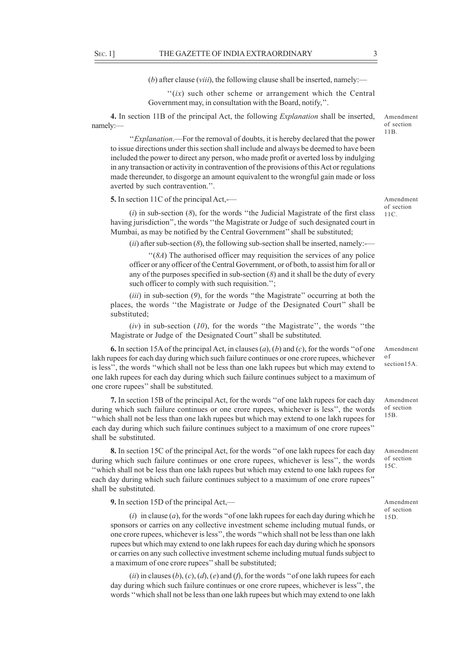(*b*) after clause (*viii*), the following clause shall be inserted, namely:—

"(ix) such other scheme or arrangement which the Central Government may, in consultation with the Board, notify,''.

**4.** In section 11B of the principal Act, the following *Explanation* shall be inserted, namely:—

''*Explanation*.—For the removal of doubts, it is hereby declared that the power to issue directions under this section shall include and always be deemed to have been included the power to direct any person, who made profit or averted loss by indulging in any transaction or activity in contravention of the provisions of this Act or regulations made thereunder, to disgorge an amount equivalent to the wrongful gain made or loss averted by such contravention.''.

**5.** In section 11C of the principal Act,-—

(*i*) in sub-section (*8*), for the words ''the Judicial Magistrate of the first class having jurisdiction'', the words ''the Magistrate or Judge of such designated court in Mumbai, as may be notified by the Central Government'' shall be substituted;

 $(iii)$  after sub-section  $(8)$ , the following sub-section shall be inserted, namely:—

''(*8A*) The authorised officer may requisition the services of any police officer or any officer of the Central Government, or of both, to assist him for all or any of the purposes specified in sub-section (*8*) and it shall be the duty of every such officer to comply with such requisition.";

(*iii*) in sub-section (*9*), for the words ''the Magistrate'' occurring at both the places, the words ''the Magistrate or Judge of the Designated Court'' shall be substituted;

(*iv*) in sub-section (*10*), for the words ''the Magistrate'', the words ''the Magistrate or Judge of the Designated Court'' shall be substituted.

**6.** In section 15A of the principal Act, in clauses (*a*), (*b*) and (*c*), for the words ''of one lakh rupees for each day during which such failure continues or one crore rupees, whichever is less'', the words ''which shall not be less than one lakh rupees but which may extend to one lakh rupees for each day during which such failure continues subject to a maximum of one crore rupees'' shall be substituted. of section15A

**7.** In section 15B of the principal Act, for the words ''of one lakh rupees for each day during which such failure continues or one crore rupees, whichever is less'', the words ''which shall not be less than one lakh rupees but which may extend to one lakh rupees for each day during which such failure continues subject to a maximum of one crore rupees'' shall be substituted.

**8.** In section 15C of the principal Act, for the words ''of one lakh rupees for each day during which such failure continues or one crore rupees, whichever is less'', the words ''which shall not be less than one lakh rupees but which may extend to one lakh rupees for each day during which such failure continues subject to a maximum of one crore rupees'' shall be substituted.

**9.** In section 15D of the principal Act,—

(*i*) in clause (*a*), for the words ''of one lakh rupees for each day during which he sponsors or carries on any collective investment scheme including mutual funds, or one crore rupees, whichever is less'', the words ''which shall not be less than one lakh rupees but which may extend to one lakh rupees for each day during which he sponsors or carries on any such collective investment scheme including mutual funds subject to a maximum of one crore rupees'' shall be substituted;

 $(iii)$  in clauses  $(b)$ ,  $(c)$ ,  $(d)$ ,  $(e)$  and  $(f)$ , for the words "of one lakh rupees for each day during which such failure continues or one crore rupees, whichever is less'', the words ''which shall not be less than one lakh rupees but which may extend to one lakh

Amendment of section 11B.

Amendment of section 11C.

Amendment

Amendment of section 15B.

Amendment of section 15C.

Amendment of section 15D.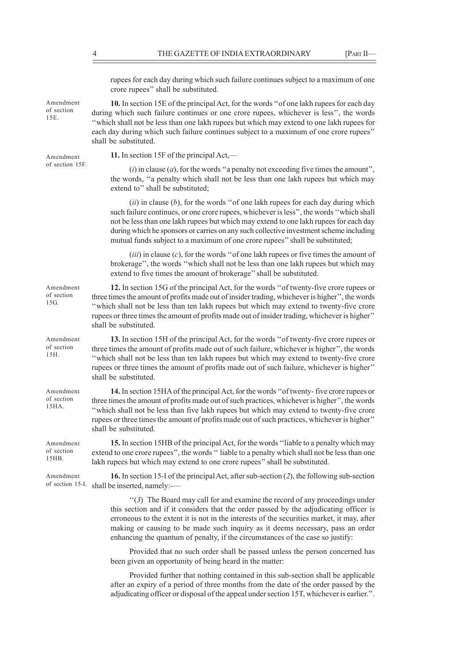rupees for each day during which such failure continues subject to a maximum of one crore rupees'' shall be substituted. **10.** In section 15E of the principal Act, for the words ''of one lakh rupees for each day during which such failure continues or one crore rupees, whichever is less'', the words ''which shall not be less than one lakh rupees but which may extend to one lakh rupees for each day during which such failure continues subject to a maximum of one crore rupees'' shall be substituted. **11.** In section 15F of the principal Act,—  $(i)$  in clause  $(a)$ , for the words "a penalty not exceeding five times the amount". extend to" shall be substituted; (*ii*) in clause (*b*), for the words ''of one lakh rupees for each day during which mutual funds subject to a maximum of one crore rupees'' shall be substituted; (*iii*) in clause (*c*), for the words ''of one lakh rupees or five times the amount of extend to five times the amount of brokerage'' shall be substituted. **12.** In section 15G of the principal Act, for the words ''of twenty-five crore rupees or shall be substituted. **13.** In section 15H of the principal Act, for the words ''of twenty-five crore rupees or three times the amount of profits made out of such failure, whichever is higher'', the words ''which shall not be less than ten lakh rupees but which may extend to twenty-five crore rupees or three times the amount of profits made out of such failure, whichever is higher'' shall be substituted. **14.** In section 15HA of the principal Act, for the words ''of twenty- five crore rupees or three times the amount of profits made out of such practices, whichever is higher'', the words ''which shall not be less than five lakh rupees but which may extend to twenty-five crore rupees or three times the amount of profits made out of such practices, whichever is higher'' shall be substituted. **15.** In section 15HB of the principal Act, for the words ''liable to a penalty which may extend to one crore rupees'', the words '' liable to a penalty which shall not be less than one lakh rupees but which may extend to one crore rupees'' shall be substituted. **16.** In section 15-I of the principal Act, after sub-section (*2*), the following sub-section shall be inserted, namely:-— ''(*3*) The Board may call for and examine the record of any proceedings under this section and if it considers that the order passed by the adjudicating officer is erroneous to the extent it is not in the interests of the securities market, it may, after making or causing to be made such inquiry as it deems necessary, pass an order enhancing the quantum of penalty, if the circumstances of the case so justify: Amendment of section 15E. Amendment of section 15F. Amendment of section 15G. Amendment of section 15H. Amendment of section 15HA. Amendment of section 15HB. Amendment of section 15-I.

> Provided that no such order shall be passed unless the person concerned has been given an opportunity of being heard in the matter:

> Provided further that nothing contained in this sub-section shall be applicable after an expiry of a period of three months from the date of the order passed by the adjudicating officer or disposal of the appeal under section 15T, whichever is earlier.''.

the words, ''a penalty which shall not be less than one lakh rupees but which may

such failure continues, or one crore rupees, whichever is less'', the words ''which shall not be less than one lakh rupees but which may extend to one lakh rupees for each day during which he sponsors or carries on any such collective investment scheme including

brokerage'', the words ''which shall not be less than one lakh rupees but which may

three times the amount of profits made out of insider trading, whichever is higher'', the words ''which shall not be less than ten lakh rupees but which may extend to twenty-five crore rupees or three times the amount of profits made out of insider trading, whichever is higher''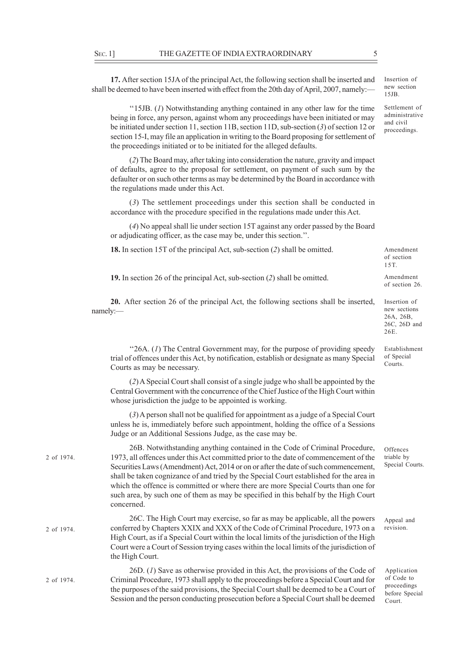**17.** After section 15JA of the principal Act, the following section shall be inserted and shall be deemed to have been inserted with effect from the 20th day of April, 2007, namely:—

''15JB. (*1*) Notwithstanding anything contained in any other law for the time being in force, any person, against whom any proceedings have been initiated or may be initiated under section 11, section 11B, section 11D, sub-section (*3*) of section 12 or section 15-I, may file an application in writing to the Board proposing for settlement of the proceedings initiated or to be initiated for the alleged defaults.

(*2*) The Board may, after taking into consideration the nature, gravity and impact of defaults, agree to the proposal for settlement, on payment of such sum by the defaulter or on such other terms as may be determined by the Board in accordance with the regulations made under this Act.

(*3*) The settlement proceedings under this section shall be conducted in accordance with the procedure specified in the regulations made under this Act.

(*4*) No appeal shall lie under section 15T against any order passed by the Board or adjudicating officer, as the case may be, under this section.''.

| <b>18.</b> In section 15T of the principal Act, sub-section (2) shall be omitted.                      | Amendment<br>of section<br>15T                                    |
|--------------------------------------------------------------------------------------------------------|-------------------------------------------------------------------|
| 19. In section 26 of the principal Act, sub-section $(2)$ shall be omitted.                            | Amendment<br>of section 26.                                       |
| <b>20.</b> After section 26 of the principal Act, the following sections shall be inserted,<br>namely: | Insertion of<br>new sections<br>26A, 26B,<br>26C, 26D and<br>26E. |
| "26A. (1) The Central Government may, for the purpose of providing speedy                              | Establishment                                                     |

26A. (*1*) The Central Government may, for the purpose of providing speedy trial of offences under this Act, by notification, establish or designate as many Special Courts as may be necessary.

(*2*) A Special Court shall consist of a single judge who shall be appointed by the Central Government with the concurrence of the Chief Justice of the High Court within whose jurisdiction the judge to be appointed is working.

(*3*) A person shall not be qualified for appointment as a judge of a Special Court unless he is, immediately before such appointment, holding the office of a Sessions Judge or an Additional Sessions Judge, as the case may be.

26B. Notwithstanding anything contained in the Code of Criminal Procedure, 1973, all offences under this Act committed prior to the date of commencement of the Securities Laws (Amendment) Act, 2014 or on or after the date of such commencement, shall be taken cognizance of and tried by the Special Court established for the area in which the offence is committed or where there are more Special Courts than one for such area, by such one of them as may be specified in this behalf by the High Court concerned. 2 of 1974.

26C. The High Court may exercise, so far as may be applicable, all the powers conferred by Chapters XXIX and XXX of the Code of Criminal Procedure, 1973 on a High Court, as if a Special Court within the local limits of the jurisdiction of the High Court were a Court of Session trying cases within the local limits of the jurisdiction of the High Court. 2 of 1974.

26D. (*1*) Save as otherwise provided in this Act, the provisions of the Code of Criminal Procedure, 1973 shall apply to the proceedings before a Special Court and for the purposes of the said provisions, the Special Court shall be deemed to be a Court of Session and the person conducting prosecution before a Special Court shall be deemed 2 of 1974.

**Offences** triable by Special Courts.

of Special **Courts** 

Appeal and revision.

Application of Code to proceedings before Special Court.

Insertion of new section 15JB.

Settlement of administrative and civil proceedings.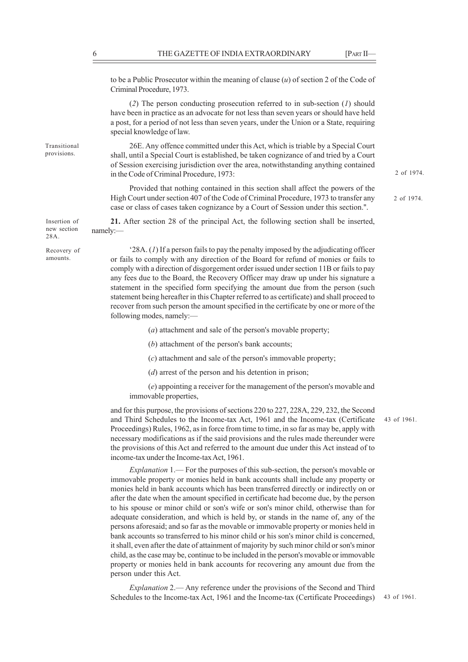to be a Public Prosecutor within the meaning of clause (*u*) of section 2 of the Code of Criminal Procedure, 1973.

(*2*) The person conducting prosecution referred to in sub-section (*1*) should have been in practice as an advocate for not less than seven years or should have held a post, for a period of not less than seven years, under the Union or a State, requiring special knowledge of law.

26E. Any offence committed under this Act, which is triable by a Special Court shall, until a Special Court is established, be taken cognizance of and tried by a Court of Session exercising jurisdiction over the area, notwithstanding anything contained in the Code of Criminal Procedure, 1973:

Provided that nothing contained in this section shall affect the powers of the High Court under section 407 of the Code of Criminal Procedure, 1973 to transfer any case or class of cases taken cognizance by a Court of Session under this section.''.

2 of 1974.

2 of 1974.

**21.** After section 28 of the principal Act, the following section shall be inserted, namely:— Insertion of new section 28A.

> '28A. (*1*) If a person fails to pay the penalty imposed by the adjudicating officer or fails to comply with any direction of the Board for refund of monies or fails to comply with a direction of disgorgement order issued under section 11B or fails to pay any fees due to the Board, the Recovery Officer may draw up under his signature a statement in the specified form specifying the amount due from the person (such statement being hereafter in this Chapter referred to as certificate) and shall proceed to recover from such person the amount specified in the certificate by one or more of the following modes, namely:—

> > (*a*) attachment and sale of the person's movable property;

(*b*) attachment of the person's bank accounts;

(*c*) attachment and sale of the person's immovable property;

(*d*) arrest of the person and his detention in prison;

(*e*) appointing a receiver for the management of the person's movable and immovable properties,

and for this purpose, the provisions of sections 220 to 227, 228A, 229, 232, the Second and Third Schedules to the Income-tax Act, 1961 and the Income-tax (Certificate Proceedings) Rules, 1962, as in force from time to time, in so far as may be, apply with necessary modifications as if the said provisions and the rules made thereunder were the provisions of this Act and referred to the amount due under this Act instead of to income-tax under the Income-tax Act, 1961.

*Explanation* 1.— For the purposes of this sub-section, the person's movable or immovable property or monies held in bank accounts shall include any property or monies held in bank accounts which has been transferred directly or indirectly on or after the date when the amount specified in certificate had become due, by the person to his spouse or minor child or son's wife or son's minor child, otherwise than for adequate consideration, and which is held by, or stands in the name of, any of the persons aforesaid; and so far as the movable or immovable property or monies held in bank accounts so transferred to his minor child or his son's minor child is concerned, it shall, even after the date of attainment of majority by such minor child or son's minor child, as the case may be, continue to be included in the person's movable or immovable property or monies held in bank accounts for recovering any amount due from the person under this Act.

*Explanation* 2.— Any reference under the provisions of the Second and Third Schedules to the Income-tax Act, 1961 and the Income-tax (Certificate Proceedings)

Transitional provisions.

Recovery of amounts.

43 of 1961.

43 of 1961.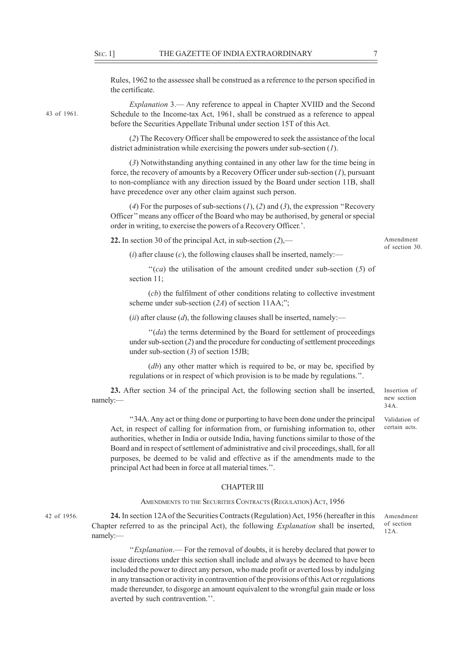Rules, 1962 to the assessee shall be construed as a reference to the person specified in the certificate.

43 of 1961.

*Explanation* 3.— Any reference to appeal in Chapter XVIID and the Second Schedule to the Income-tax Act, 1961, shall be construed as a reference to appeal before the Securities Appellate Tribunal under section 15T of this Act.

(*2*) The Recovery Officer shall be empowered to seek the assistance of the local district administration while exercising the powers under sub-section (*1*).

(*3*) Notwithstanding anything contained in any other law for the time being in force, the recovery of amounts by a Recovery Officer under sub-section (*1*), pursuant to non-compliance with any direction issued by the Board under section 11B, shall have precedence over any other claim against such person.

(*4*) For the purposes of sub-sections (*1*), (*2*) and (*3*), the expression ''Recovery Officer'' means any officer of the Board who may be authorised, by general or special order in writing, to exercise the powers of a Recovery Officer.'.

**22.** In section 30 of the principal Act, in sub-section (*2*),—

Amendment of section 30.

 $(i)$  after clause  $(c)$ , the following clauses shall be inserted, namely:—

''(*ca*) the utilisation of the amount credited under sub-section (*5*) of section 11;

(*cb*) the fulfilment of other conditions relating to collective investment scheme under sub-section (*2A*) of section 11AA;";

 $(iii)$  after clause (*d*), the following clauses shall be inserted, namely:—

''(*da*) the terms determined by the Board for settlement of proceedings under sub-section (*2*) and the procedure for conducting of settlement proceedings under sub-section (*3*) of section 15JB;

(*db*) any other matter which is required to be, or may be, specified by regulations or in respect of which provision is to be made by regulations.''.

**23.** After section 34 of the principal Act, the following section shall be inserted, namely:—

Insertion of new section 34A.

Validation of certain acts.

Amendment of section 12A.

''34A. Any act or thing done or purporting to have been done under the principal Act, in respect of calling for information from, or furnishing information to, other authorities, whether in India or outside India, having functions similar to those of the Board and in respect of settlement of administrative and civil proceedings, shall, for all purposes, be deemed to be valid and effective as if the amendments made to the principal Act had been in force at all material times.''.

#### CHAPTER III

AMENDMENTS TO THE SECURITIES CONTRACTS (REGULATION) ACT, 1956

42 of 1956.

**24.** In section 12A of the Securities Contracts (Regulation) Act, 1956 (hereafter in this Chapter referred to as the principal Act), the following *Explanation* shall be inserted, namely:—

''*Explanation*.— For the removal of doubts, it is hereby declared that power to issue directions under this section shall include and always be deemed to have been included the power to direct any person, who made profit or averted loss by indulging in any transaction or activity in contravention of the provisions of this Act or regulations made thereunder, to disgorge an amount equivalent to the wrongful gain made or loss averted by such contravention.''.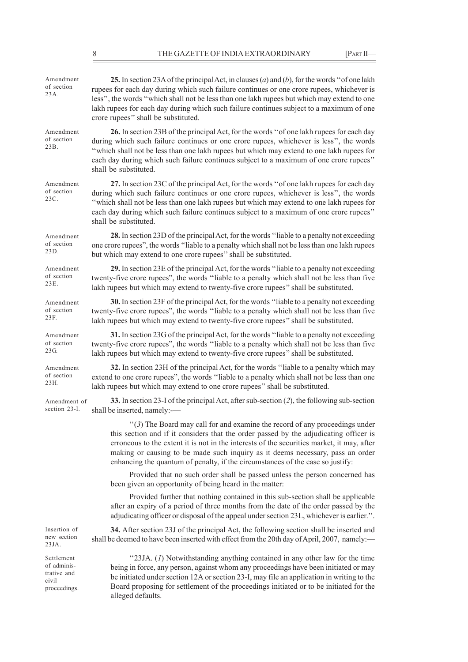| 25. In section 23A of the principal Act, in clauses (a) and (b), for the words "of one lakh<br>rupees for each day during which such failure continues or one crore rupees, whichever is<br>less", the words "which shall not be less than one lakh rupees but which may extend to one<br>lakh rupees for each day during which such failure continues subject to a maximum of one<br>crore rupees" shall be substituted.              |  |  |
|----------------------------------------------------------------------------------------------------------------------------------------------------------------------------------------------------------------------------------------------------------------------------------------------------------------------------------------------------------------------------------------------------------------------------------------|--|--|
| 26. In section 23B of the principal Act, for the words "of one lakh rupees for each day<br>during which such failure continues or one crore rupees, whichever is less", the words<br>"which shall not be less than one lakh rupees but which may extend to one lakh rupees for<br>each day during which such failure continues subject to a maximum of one crore rupees"<br>shall be substituted.                                      |  |  |
| 27. In section 23C of the principal Act, for the words "of one lakh rupees for each day<br>during which such failure continues or one crore rupees, whichever is less", the words<br>"which shall not be less than one lakh rupees but which may extend to one lakh rupees for<br>each day during which such failure continues subject to a maximum of one crore rupees"<br>shall be substituted.                                      |  |  |
| 28. In section 23D of the principal Act, for the words "liable to a penalty not exceeding<br>one crore rupees", the words "liable to a penalty which shall not be less than one lakh rupees<br>but which may extend to one crore rupees" shall be substituted.                                                                                                                                                                         |  |  |
| 29. In section 23E of the principal Act, for the words "liable to a penalty not exceeding<br>twenty-five crore rupees", the words "liable to a penalty which shall not be less than five<br>lakh rupees but which may extend to twenty-five crore rupees" shall be substituted.                                                                                                                                                        |  |  |
| 30. In section 23F of the principal Act, for the words "liable to a penalty not exceeding<br>twenty-five crore rupees", the words "liable to a penalty which shall not be less than five<br>lakh rupees but which may extend to twenty-five crore rupees" shall be substituted.                                                                                                                                                        |  |  |
| 31. In section 23G of the principal Act, for the words "liable to a penalty not exceeding<br>twenty-five crore rupees", the words "liable to a penalty which shall not be less than five<br>lakh rupees but which may extend to twenty-five crore rupees" shall be substituted.                                                                                                                                                        |  |  |
| 32. In section 23H of the principal Act, for the words "liable to a penalty which may<br>extend to one crore rupees", the words "liable to a penalty which shall not be less than one<br>lakh rupees but which may extend to one crore rupees" shall be substituted.                                                                                                                                                                   |  |  |
| 33. In section 23-I of the principal Act, after sub-section $(2)$ , the following sub-section<br>shall be inserted, namely:-                                                                                                                                                                                                                                                                                                           |  |  |
| "(3) The Board may call for and examine the record of any proceedings under<br>this section and if it considers that the order passed by the adjudicating officer is<br>erroneous to the extent it is not in the interests of the securities market, it may, after<br>making or causing to be made such inquiry as it deems necessary, pass an order<br>enhancing the quantum of penalty, if the circumstances of the case so justify: |  |  |
| Provided that no such order shall be passed unless the person concerned has<br>been given an opportunity of being heard in the matter:                                                                                                                                                                                                                                                                                                 |  |  |
| Provided further that nothing contained in this sub-section shall be applicable<br>after an expiry of a period of three months from the date of the order passed by the<br>adjudicating officer or disposal of the appeal under section 23L, whichever is earlier.".                                                                                                                                                                   |  |  |
| 34. After section 23J of the principal Act, the following section shall be inserted and<br>shall be deemed to have been inserted with effect from the 20th day of April, 2007, namely:                                                                                                                                                                                                                                                 |  |  |
| "23JA. (1) Notwithstanding anything contained in any other law for the time<br>being in force, any person, against whom any proceedings have been initiated or may<br>be initiated under section 12A or section 23-I, may file an application in writing to the<br>Board proposing for settlement of the proceedings initiated or to be initiated for the<br>alleged defaults.                                                         |  |  |
|                                                                                                                                                                                                                                                                                                                                                                                                                                        |  |  |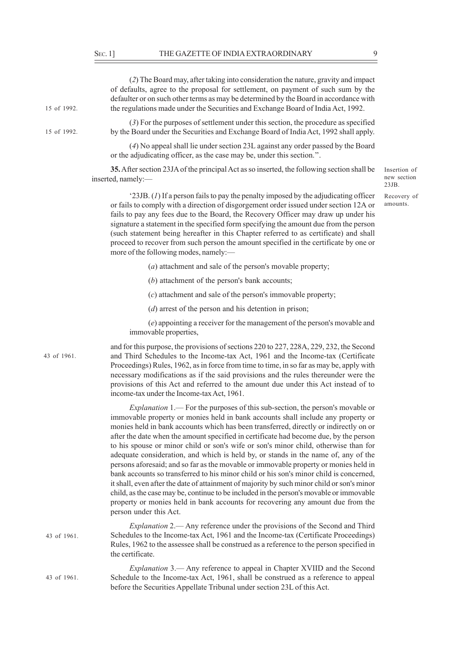15 of 1992.

15 of 1992.

43 of 1961.

(*2*) The Board may, after taking into consideration the nature, gravity and impact of defaults, agree to the proposal for settlement, on payment of such sum by the defaulter or on such other terms as may be determined by the Board in accordance with the regulations made under the Securities and Exchange Board of India Act, 1992.

(*3*) For the purposes of settlement under this section, the procedure as specified by the Board under the Securities and Exchange Board of India Act, 1992 shall apply.

(*4*) No appeal shall lie under section 23L against any order passed by the Board or the adjudicating officer, as the case may be, under this section.''.

**35.** After section 23JA of the principal Act as so inserted, the following section shall be inserted, namely:—

Insertion of new section  $23IB$ 

Recovery of amounts.

'23JB. (*1*) If a person fails to pay the penalty imposed by the adjudicating officer or fails to comply with a direction of disgorgement order issued under section 12A or fails to pay any fees due to the Board, the Recovery Officer may draw up under his signature a statement in the specified form specifying the amount due from the person (such statement being hereafter in this Chapter referred to as certificate) and shall proceed to recover from such person the amount specified in the certificate by one or more of the following modes, namely:—

(*a*) attachment and sale of the person's movable property;

(*b*) attachment of the person's bank accounts;

(*c*) attachment and sale of the person's immovable property;

(*d*) arrest of the person and his detention in prison;

(*e*) appointing a receiver for the management of the person's movable and immovable properties,

and for this purpose, the provisions of sections 220 to 227, 228A, 229, 232, the Second and Third Schedules to the Income-tax Act, 1961 and the Income-tax (Certificate Proceedings) Rules, 1962, as in force from time to time, in so far as may be, apply with necessary modifications as if the said provisions and the rules thereunder were the provisions of this Act and referred to the amount due under this Act instead of to income-tax under the Income-tax Act, 1961.

*Explanation* 1.— For the purposes of this sub-section, the person's movable or immovable property or monies held in bank accounts shall include any property or monies held in bank accounts which has been transferred, directly or indirectly on or after the date when the amount specified in certificate had become due, by the person to his spouse or minor child or son's wife or son's minor child, otherwise than for adequate consideration, and which is held by, or stands in the name of, any of the persons aforesaid; and so far as the movable or immovable property or monies held in bank accounts so transferred to his minor child or his son's minor child is concerned, it shall, even after the date of attainment of majority by such minor child or son's minor child, as the case may be, continue to be included in the person's movable or immovable property or monies held in bank accounts for recovering any amount due from the person under this Act.

*Explanation* 2.— Any reference under the provisions of the Second and Third Schedules to the Income-tax Act, 1961 and the Income-tax (Certificate Proceedings) Rules, 1962 to the assessee shall be construed as a reference to the person specified in the certificate. 43 of 1961.

*Explanation* 3.— Any reference to appeal in Chapter XVIID and the Second Schedule to the Income-tax Act, 1961, shall be construed as a reference to appeal before the Securities Appellate Tribunal under section 23L of this Act. 43 of 1961.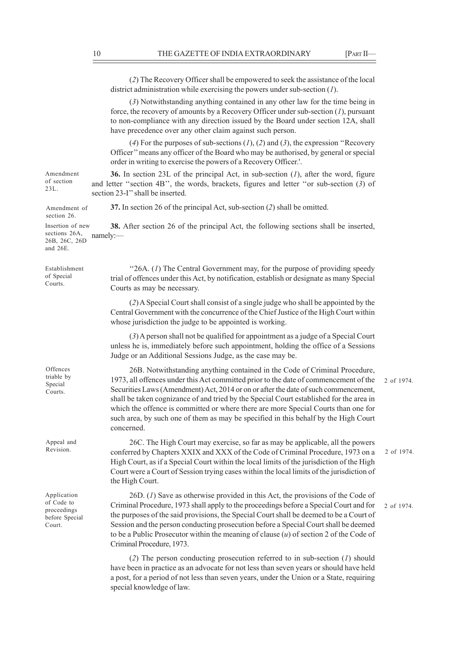|                                                                      | (2) The Recovery Officer shall be empowered to seek the assistance of the local<br>district administration while exercising the powers under sub-section $(1)$ .                                                                                                                                                                                                                                                                                                                                                                                |            |
|----------------------------------------------------------------------|-------------------------------------------------------------------------------------------------------------------------------------------------------------------------------------------------------------------------------------------------------------------------------------------------------------------------------------------------------------------------------------------------------------------------------------------------------------------------------------------------------------------------------------------------|------------|
|                                                                      | (3) Notwithstanding anything contained in any other law for the time being in<br>force, the recovery of amounts by a Recovery Officer under sub-section $(I)$ , pursuant<br>to non-compliance with any direction issued by the Board under section 12A, shall<br>have precedence over any other claim against such person.                                                                                                                                                                                                                      |            |
|                                                                      | (4) For the purposes of sub-sections $(1)$ , $(2)$ and $(3)$ , the expression "Recovery<br>Officer" means any officer of the Board who may be authorised, by general or special<br>order in writing to exercise the powers of a Recovery Officer.'.                                                                                                                                                                                                                                                                                             |            |
| Amendment<br>of section<br>23L.                                      | 36. In section 23L of the principal Act, in sub-section $(I)$ , after the word, figure<br>and letter "section 4B", the words, brackets, figures and letter "or sub-section (3) of<br>section 23-I" shall be inserted.                                                                                                                                                                                                                                                                                                                           |            |
| Amendment of<br>section 26.                                          | 37. In section 26 of the principal Act, sub-section (2) shall be omitted.                                                                                                                                                                                                                                                                                                                                                                                                                                                                       |            |
| Insertion of new<br>sections 26A,<br>26B, 26C, 26D<br>and 26E.       | <b>38.</b> After section 26 of the principal Act, the following sections shall be inserted,<br>namely:                                                                                                                                                                                                                                                                                                                                                                                                                                          |            |
| Establishment<br>of Special<br>Courts.                               | "26A. (1) The Central Government may, for the purpose of providing speedy<br>trial of offences under this Act, by notification, establish or designate as many Special<br>Courts as may be necessary.                                                                                                                                                                                                                                                                                                                                           |            |
|                                                                      | (2) A Special Court shall consist of a single judge who shall be appointed by the<br>Central Government with the concurrence of the Chief Justice of the High Court within<br>whose jurisdiction the judge to be appointed is working.                                                                                                                                                                                                                                                                                                          |            |
|                                                                      | (3) A person shall not be qualified for appointment as a judge of a Special Court<br>unless he is, immediately before such appointment, holding the office of a Sessions<br>Judge or an Additional Sessions Judge, as the case may be.                                                                                                                                                                                                                                                                                                          |            |
| Offences<br>triable by<br>Special<br>Courts.                         | 26B. Notwithstanding anything contained in the Code of Criminal Procedure,<br>1973, all offences under this Act committed prior to the date of commencement of the<br>Securities Laws (Amendment) Act, 2014 or on or after the date of such commencement,<br>shall be taken cognizance of and tried by the Special Court established for the area in<br>which the offence is committed or where there are more Special Courts than one for<br>such area, by such one of them as may be specified in this behalf by the High Court<br>concerned. | 2 of 1974. |
| Appeal and<br>Revision.                                              | 26C. The High Court may exercise, so far as may be applicable, all the powers<br>conferred by Chapters XXIX and XXX of the Code of Criminal Procedure, 1973 on a<br>High Court, as if a Special Court within the local limits of the jurisdiction of the High<br>Court were a Court of Session trying cases within the local limits of the jurisdiction of<br>the High Court.                                                                                                                                                                   | 2 of 1974. |
| Application<br>of Code to<br>proceedings<br>before Special<br>Court. | $26D$ . (1) Save as otherwise provided in this Act, the provisions of the Code of<br>Criminal Procedure, 1973 shall apply to the proceedings before a Special Court and for<br>the purposes of the said provisions, the Special Court shall be deemed to be a Court of<br>Session and the person conducting prosecution before a Special Court shall be deemed<br>to be a Public Prosecutor within the meaning of clause $(u)$ of section 2 of the Code of<br>Criminal Procedure, 1973.                                                         | 2 of 1974. |
|                                                                      | (2) The person conducting prosecution referred to in sub-section $(I)$ should<br>have been in practice as an advocate for not less than seven years or should have held<br>a post, for a period of not less than seven years, under the Union or a State, requiring                                                                                                                                                                                                                                                                             |            |

special knowledge of law.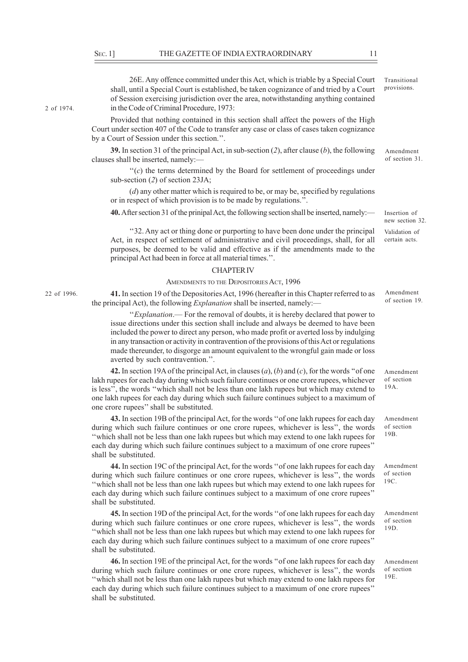2 of 1974.

22 of 1996.

26E. Any offence committed under this Act, which is triable by a Special Court shall, until a Special Court is established, be taken cognizance of and tried by a Court of Session exercising jurisdiction over the area, notwithstanding anything contained in the Code of Criminal Procedure, 1973:

Provided that nothing contained in this section shall affect the powers of the High Court under section 407 of the Code to transfer any case or class of cases taken cognizance by a Court of Session under this section.''.

**39.** In section 31 of the principal Act, in sub-section (*2*), after clause (*b*), the following clauses shall be inserted, namely:—

 $f(c)$  the terms determined by the Board for settlement of proceedings under sub-section (*2*) of section 23JA;

(*d*) any other matter which is required to be, or may be, specified by regulations or in respect of which provision is to be made by regulations.''.

**40.** After section 31 of the prinipal Act, the following section shall be inserted, namely:—

''32. Any act or thing done or purporting to have been done under the principal Act, in respect of settlement of administrative and civil proceedings, shall, for all purposes, be deemed to be valid and effective as if the amendments made to the principal Act had been in force at all material times.''.

#### CHAPTER IV

#### AMENDMENTS TO THE DEPOSITORIES ACT, 1996

**41.** In section 19 of the Depositories Act, 1996 (hereafter in this Chapter referred to as the principal Act), the following *Explanation* shall be inserted, namely:—

''*Explanation*.— For the removal of doubts, it is hereby declared that power to issue directions under this section shall include and always be deemed to have been included the power to direct any person, who made profit or averted loss by indulging in any transaction or activity in contravention of the provisions of this Act or regulations made thereunder, to disgorge an amount equivalent to the wrongful gain made or loss averted by such contravention.''.

**42.** In section 19A of the principal Act, in clauses (*a*), (*b*) and (*c*), for the words ''of one lakh rupees for each day during which such failure continues or one crore rupees, whichever is less'', the words ''which shall not be less than one lakh rupees but which may extend to one lakh rupees for each day during which such failure continues subject to a maximum of one crore rupees'' shall be substituted.

**43.** In section 19B of the principal Act, for the words ''of one lakh rupees for each day during which such failure continues or one crore rupees, whichever is less'', the words ''which shall not be less than one lakh rupees but which may extend to one lakh rupees for each day during which such failure continues subject to a maximum of one crore rupees'' shall be substituted.

**44.** In section 19C of the principal Act, for the words ''of one lakh rupees for each day during which such failure continues or one crore rupees, whichever is less'', the words ''which shall not be less than one lakh rupees but which may extend to one lakh rupees for each day during which such failure continues subject to a maximum of one crore rupees'' shall be substituted.

**45.** In section 19D of the principal Act, for the words ''of one lakh rupees for each day during which such failure continues or one crore rupees, whichever is less'', the words ''which shall not be less than one lakh rupees but which may extend to one lakh rupees for each day during which such failure continues subject to a maximum of one crore rupees'' shall be substituted.

**46.** In section 19E of the principal Act, for the words ''of one lakh rupees for each day during which such failure continues or one crore rupees, whichever is less'', the words ''which shall not be less than one lakh rupees but which may extend to one lakh rupees for each day during which such failure continues subject to a maximum of one crore rupees'' shall be substituted.

Transitional provisions.

Amendment of section 31.

Insertion of new section 32. Validation of certain acts.

Amendment of section 19.

Amendment of section 19A.

Amendment of section 19B.

Amendment of section 19C.

Amendment of section 19D.

Amendment of section 19E.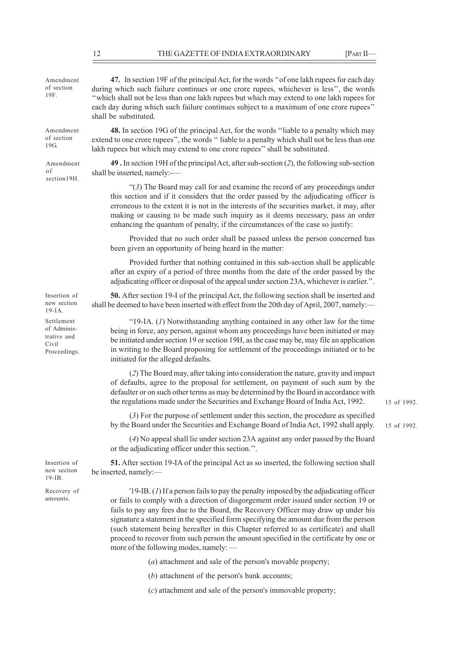| Amendment<br>of section<br>19F.                                   | 47. In section 19F of the principal Act, for the words "of one lakh rupees for each day<br>during which such failure continues or one crore rupees, whichever is less", the words<br>"which shall not be less than one lakh rupees but which may extend to one lakh rupees for<br>each day during which such failure continues subject to a maximum of one crore rupees"<br>shall be substituted.                                                       |             |  |
|-------------------------------------------------------------------|---------------------------------------------------------------------------------------------------------------------------------------------------------------------------------------------------------------------------------------------------------------------------------------------------------------------------------------------------------------------------------------------------------------------------------------------------------|-------------|--|
| Amendment<br>of section<br>19G.                                   | 48. In section 19G of the principal Act, for the words "liable to a penalty which may<br>extend to one crore rupees", the words "liable to a penalty which shall not be less than one<br>lakh rupees but which may extend to one crore rupees" shall be substituted.                                                                                                                                                                                    |             |  |
| Amendment<br>οf<br>section19H.                                    | 49. In section 19H of the principal Act, after sub-section (2), the following sub-section<br>shall be inserted, namely:-                                                                                                                                                                                                                                                                                                                                |             |  |
|                                                                   | " $(3)$ The Board may call for and examine the record of any proceedings under<br>this section and if it considers that the order passed by the adjudicating officer is<br>erroneous to the extent it is not in the interests of the securities market, it may, after<br>making or causing to be made such inquiry as it deems necessary, pass an order<br>enhancing the quantum of penalty, if the circumstances of the case so justify:               |             |  |
|                                                                   | Provided that no such order shall be passed unless the person concerned has<br>been given an opportunity of being heard in the matter:                                                                                                                                                                                                                                                                                                                  |             |  |
|                                                                   | Provided further that nothing contained in this sub-section shall be applicable<br>after an expiry of a period of three months from the date of the order passed by the<br>adjudicating officer or disposal of the appeal under section 23A, whichever is earlier.".                                                                                                                                                                                    |             |  |
| Insertion of<br>new section<br>$19$ -IA.                          | 50. After section 19-I of the principal Act, the following section shall be inserted and<br>shall be deemed to have been inserted with effect from the 20th day of April, 2007, namely:—                                                                                                                                                                                                                                                                |             |  |
| Settlement<br>of Adminis-<br>trative and<br>Civil<br>Proceedings. | "19-IA. $(I)$ Notwithstanding anything contained in any other law for the time<br>being in force, any person, against whom any proceedings have been initiated or may<br>be initiated under section 19 or section 19H, as the case may be, may file an application<br>in writing to the Board proposing for settlement of the proceedings initiated or to be<br>initiated for the alleged defaults.                                                     |             |  |
|                                                                   | (2) The Board may, after taking into consideration the nature, gravity and impact<br>of defaults, agree to the proposal for settlement, on payment of such sum by the<br>defaulter or on such other terms as may be determined by the Board in accordance with<br>the regulations made under the Securities and Exchange Board of India Act, 1992.                                                                                                      | 15 of 1992. |  |
|                                                                   | (3) For the purpose of settlement under this section, the procedure as specified<br>by the Board under the Securities and Exchange Board of India Act, 1992 shall apply.                                                                                                                                                                                                                                                                                | 15 of 1992. |  |
|                                                                   | (4) No appeal shall lie under section 23A against any order passed by the Board<br>or the adjudicating officer under this section.".                                                                                                                                                                                                                                                                                                                    |             |  |
| Insertion of<br>new section<br>$19$ -IB.                          | 51. After section 19-IA of the principal Act as so inserted, the following section shall<br>be inserted, namely:-                                                                                                                                                                                                                                                                                                                                       |             |  |
| Recovery of<br>amounts.                                           | $'19$ -IB. (1) If a person fails to pay the penalty imposed by the adjudicating officer<br>or fails to comply with a direction of disgorgement order issued under section 19 or<br>fails to pay any fees due to the Board, the Recovery Officer may draw up under his<br>signature a statement in the specified form specifying the amount due from the person<br>(such statement being hereafter in this Chapter referred to as certificate) and shall |             |  |

(*a*) attachment and sale of the person's movable property;

proceed to recover from such person the amount specified in the certificate by one or

(*b*) attachment of the person's bank accounts;

more of the following modes, namely: —

(*c*) attachment and sale of the person's immovable property;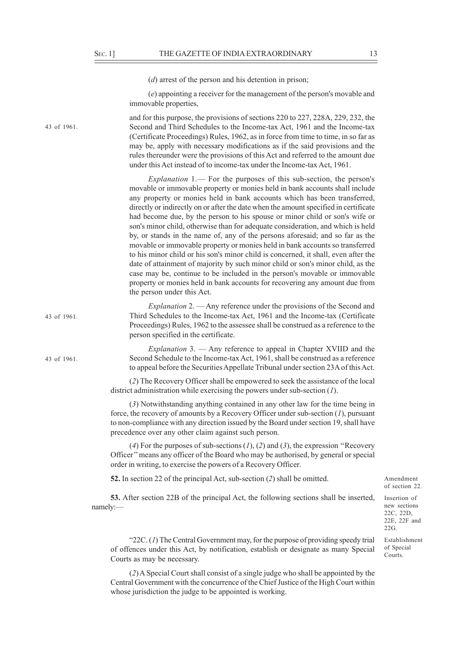(*d*) arrest of the person and his detention in prison; (*e*) appointing a receiver for the management of the person's movable and immovable properties, and for this purpose, the provisions of sections 220 to 227, 228A, 229, 232, the Second and Third Schedules to the Income-tax Act, 1961 and the Income-tax (Certificate Proceedings) Rules, 1962, as in force from time to time, in so far as may be, apply with necessary modifications as if the said provisions and the rules thereunder were the provisions of this Act and referred to the amount due under this Act instead of to income-tax under the Income-tax Act, 1961. *Explanation* 1.— For the purposes of this sub-section, the person's movable or immovable property or monies held in bank accounts shall include any property or monies held in bank accounts which has been transferred, directly or indirectly on or after the date when the amount specified in certificate had become due, by the person to his spouse or minor child or son's wife or son's minor child, otherwise than for adequate consideration, and which is held by, or stands in the name of, any of the persons aforesaid; and so far as the movable or immovable property or monies held in bank accounts so transferred to his minor child or his son's minor child is concerned, it shall, even after the date of attainment of majority by such minor child or son's minor child, as the case may be, continue to be included in the person's movable or immovable property or monies held in bank accounts for recovering any amount due from the person under this Act. *Explanation* 2. — Any reference under the provisions of the Second and Third Schedules to the Income-tax Act, 1961 and the Income-tax (Certificate Proceedings) Rules, 1962 to the assessee shall be construed as a reference to the person specified in the certificate. *Explanation* 3. — Any reference to appeal in Chapter XVIID and the Second Schedule to the Income-tax Act, 1961, shall be construed as a reference to appeal before the Securities Appellate Tribunal under section 23A of this Act. (*2*) The Recovery Officer shall be empowered to seek the assistance of the local district administration while exercising the powers under sub-section (*1*). (*3*) Notwithstanding anything contained in any other law for the time being in force, the recovery of amounts by a Recovery Officer under sub-section (*1*), pursuant to non-compliance with any direction issued by the Board under section 19, shall have precedence over any other claim against such person. 43 of 1961. 43 of 1961.

> (*4*) For the purposes of sub-sections (*1*), (*2*) and (*3*), the expression ''Recovery Officer'' means any officer of the Board who may be authorised, by general or special order in writing, to exercise the powers of a Recovery Officer.

**52.** In section 22 of the principal Act, sub-section (*2*) shall be omitted.

**53.** After section 22B of the principal Act, the following sections shall be inserted, namely:—

Insertion of new sections 22C, 22D, 22E, 22F and  $22G$ 

Amendment of section 22.

Establishment of Special Courts.

"22C. (*1*) The Central Government may, for the purpose of providing speedy trial of offences under this Act, by notification, establish or designate as many Special Courts as may be necessary.

(*2*) A Special Court shall consist of a single judge who shall be appointed by the Central Government with the concurrence of the Chief Justice of the High Court within whose jurisdiction the judge to be appointed is working.

43 of 1961.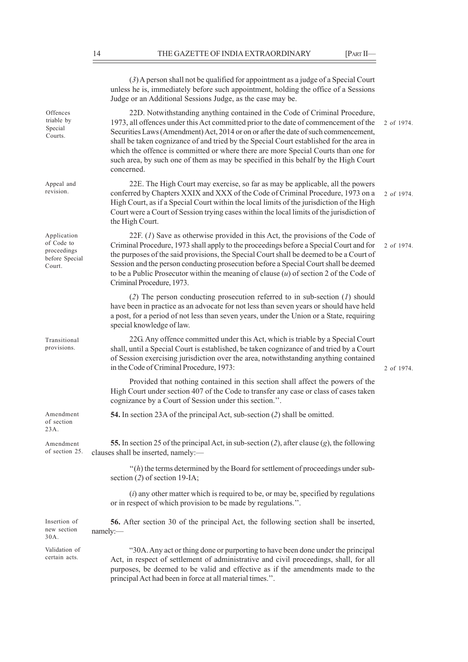(*3*) A person shall not be qualified for appointment as a judge of a Special Court unless he is, immediately before such appointment, holding the office of a Sessions Judge or an Additional Sessions Judge, as the case may be. 22D. Notwithstanding anything contained in the Code of Criminal Procedure, 1973, all offences under this Act committed prior to the date of commencement of the Securities Laws (Amendment) Act, 2014 or on or after the date of such commencement, shall be taken cognizance of and tried by the Special Court established for the area in which the offence is committed or where there are more Special Courts than one for such area, by such one of them as may be specified in this behalf by the High Court concerned. 22E. The High Court may exercise, so far as may be applicable, all the powers conferred by Chapters XXIX and XXX of the Code of Criminal Procedure, 1973 on a High Court, as if a Special Court within the local limits of the jurisdiction of the High Court were a Court of Session trying cases within the local limits of the jurisdiction of the High Court. 22F. (*1*) Save as otherwise provided in this Act, the provisions of the Code of Criminal Procedure, 1973 shall apply to the proceedings before a Special Court and for the purposes of the said provisions, the Special Court shall be deemed to be a Court of Session and the person conducting prosecution before a Special Court shall be deemed to be a Public Prosecutor within the meaning of clause (*u*) of section 2 of the Code of Criminal Procedure, 1973. (*2*) The person conducting prosecution referred to in sub-section (*1*) should have been in practice as an advocate for not less than seven years or should have held a post, for a period of not less than seven years, under the Union or a State, requiring special knowledge of law. 22G. Any offence committed under this Act, which is triable by a Special Court shall, until a Special Court is established, be taken cognizance of and tried by a Court of Session exercising jurisdiction over the area, notwithstanding anything contained in the Code of Criminal Procedure, 1973: Provided that nothing contained in this section shall affect the powers of the High Court under section 407 of the Code to transfer any case or class of cases taken cognizance by a Court of Session under this section.''. **54.** In section 23A of the principal Act, sub-section (*2*) shall be omitted. **55.** In section 25 of the principal Act, in sub-section (*2*), after clause (*g*), the following clauses shall be inserted, namely:— ''(*h*) the terms determined by the Board for settlement of proceedings under subsection (*2*) of section 19-IA; (*i*) any other matter which is required to be, or may be, specified by regulations or in respect of which provision to be made by regulations.''. **56.** After section 30 of the principal Act, the following section shall be inserted, namely:— "30A. Any act or thing done or purporting to have been done under the principal Act, in respect of settlement of administrative and civil proceedings, shall, for all purposes, be deemed to be valid and effective as if the amendments made to the principal Act had been in force at all material times.''. 2 of 1974. 2 of 1974. 2 of 1974. 2 of 1974. **Offences** triable by Special Courts. Appeal and revision. Application of Code to proceedings before Special Court. Transitional provisions. Amendment of section  $23A$ Insertion of new section 30A. Validation of certain acts. Amendment of section 25.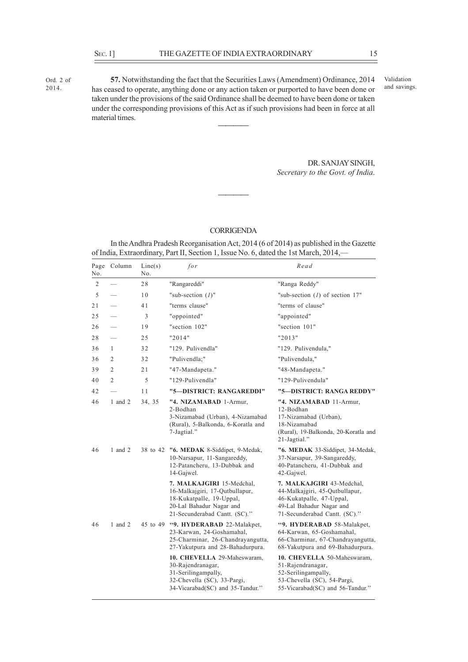Ord. 2 of 2014.

**57.** Notwithstanding the fact that the Securities Laws (Amendment) Ordinance, 2014 has ceased to operate, anything done or any action taken or purported to have been done or taken under the provisions of the said Ordinance shall be deemed to have been done or taken under the corresponding provisions of this Act as if such provisions had been in force at all material times. Validation and savings. **————**

> DR. SANJAY SINGH, *Secretary to the Govt. of India*.

# **CORRIGENDA**

**————**

In the Andhra Pradesh Reorganisation Act, 2014 (6 of 2014) as published in the Gazette of India, Extraordinary, Part II, Section 1, Issue No. 6, dated the 1st March, 2014,—

| No.            | Page Column    | Line(s)<br>No. | for                                                                                                                                                  | Read                                                                                                                                                 |
|----------------|----------------|----------------|------------------------------------------------------------------------------------------------------------------------------------------------------|------------------------------------------------------------------------------------------------------------------------------------------------------|
| $\overline{c}$ |                | 28             | "Rangareddi"                                                                                                                                         | "Ranga Reddy"                                                                                                                                        |
| 5              |                | 10             | "sub-section $(I)$ "                                                                                                                                 | "sub-section $(1)$ of section 17"                                                                                                                    |
| 21             |                | 41             | "terms clause"                                                                                                                                       | "terms of clause"                                                                                                                                    |
| 25             |                | 3              | "oppointed"                                                                                                                                          | "appointed"                                                                                                                                          |
| 26             |                | 19             | "section 102"                                                                                                                                        | "section 101"                                                                                                                                        |
| 28             |                | 25             | "2014"                                                                                                                                               | "2013"                                                                                                                                               |
| 36             | 1              | 32             | "129. Pulivendla"                                                                                                                                    | "129. Pulivendula,"                                                                                                                                  |
| 36             | $\overline{2}$ | 32             | "Pulivendla;"                                                                                                                                        | "Pulivendula."                                                                                                                                       |
| 39             | $\overline{2}$ | 21             | "47-Mandapeta."                                                                                                                                      | "48-Mandapeta."                                                                                                                                      |
| 40             | $\overline{2}$ | 5              | "129-Pulivendla"                                                                                                                                     | "129-Pulivendula"                                                                                                                                    |
| 42             |                | 11             | "5-DISTRICT: RANGAREDDI"                                                                                                                             | "5—DISTRICT: RANGA REDDY"                                                                                                                            |
| 46             | 1 and $2$      | 34, 35         | "4. NIZAMABAD 1-Armur,<br>2-Bodhan<br>3-Nizamabad (Urban), 4-Nizamabad<br>(Rural), 5-Balkonda, 6-Koratla and<br>7-Jagtial."                          | "4. NIZAMABAD 11-Armur,<br>12-Bodhan<br>17-Nizamabad (Urban),<br>18-Nizamabad<br>(Rural), 19-Balkonda, 20-Koratla and<br>21-Jagtial."                |
| 46             | $1$ and $2$    | 38 to 42       | "6. MEDAK 8-Siddipet, 9-Medak,<br>10-Narsapur, 11-Sangareddy,<br>12-Patancheru, 13-Dubbak and<br>14-Gajwel.                                          | "6. MEDAK 33-Siddipet, 34-Medak,<br>37-Narsapur, 39-Sangareddy,<br>40-Patancheru, 41-Dubbak and<br>42-Gajwel.                                        |
|                |                |                | 7. MALKAJGIRI 15-Medchal,<br>16-Malkajgiri, 17-Qutbullapur,<br>18-Kukatpalle, 19-Uppal,<br>20-Lal Bahadur Nagar and<br>21-Secunderabad Cantt. (SC)." | 7. MALKAJGIRI 43-Medchal,<br>44-Malkajgiri, 45-Qutbullapur,<br>46-Kukatpalle, 47-Uppal,<br>49-Lal Bahadur Nagar and<br>71-Secunderabad Cantt. (SC)." |
| 46             | 1 and $2$      |                | 45 to 49 "9. HYDERABAD 22-Malakpet,<br>23-Karwan, 24-Goshamahal,<br>25-Charminar, 26-Chandrayangutta,<br>27-Yakutpura and 28-Bahadurpura.            | "9. HYDERABAD 58-Malakpet,<br>64-Karwan, 65-Goshamahal,<br>66-Charminar, 67-Chandrayangutta,<br>68-Yakutpura and 69-Bahadurpura.                     |
|                |                |                | 10. CHEVELLA 29-Maheswaram,<br>30-Rajendranagar,<br>31-Serilingampally,<br>32-Chevella (SC), 33-Pargi,<br>34-Vicarabad(SC) and 35-Tandur."           | 10. CHEVELLA 50-Maheswaram,<br>51-Rajendranagar,<br>52-Serilingampally,<br>53-Chevella (SC), 54-Pargi,<br>55-Vicarabad(SC) and 56-Tandur."           |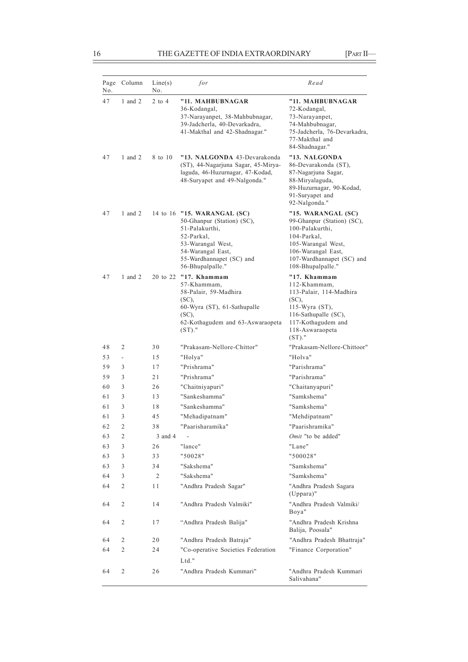f

| Page<br>No. | Column                   | Line(s)<br>No. | for                                                                                                                                                                                 | Read                                                                                                                                                                             |
|-------------|--------------------------|----------------|-------------------------------------------------------------------------------------------------------------------------------------------------------------------------------------|----------------------------------------------------------------------------------------------------------------------------------------------------------------------------------|
| 47          | 1 and $2$                | $2$ to $4$     | "11. MAHBUBNAGAR<br>36-Kodangal,<br>37-Narayanpet, 38-Mahbubnagar,<br>39-Jadcherla, 40-Devarkadra,<br>41-Makthal and 42-Shadnagar."                                                 | "11. MAHBUBNAGAR<br>72-Kodangal,<br>73-Narayanpet,<br>74-Mahbubnagar,<br>75-Jadcherla, 76-Devarkadra,<br>77-Makthal and<br>84-Shadnagar."                                        |
| 47          | 1 and $2$                | 8 to 10        | "13. NALGONDA 43-Devarakonda<br>(ST), 44-Nagarjuna Sagar, 45-Mirya-<br>laguda, 46-Huzurnagar, 47-Kodad,<br>48-Suryapet and 49-Nalgonda."                                            | "13. NALGONDA<br>86-Devarakonda (ST).<br>87-Nagarjuna Sagar,<br>88-Miryalaguda,<br>89-Huzurnagar, 90-Kodad,<br>91-Suryapet and<br>92-Nalgonda."                                  |
| 47          | 1 and $2$                |                | 14 to 16 "15. WARANGAL (SC)<br>50-Ghanpur (Station) (SC),<br>51-Palakurthi,<br>52-Parkal,<br>53-Warangal West,<br>54-Warangal East,<br>55-Wardhannapet (SC) and<br>56-Bhupalpalle." | "15. WARANGAL (SC)<br>99-Ghanpur (Station) (SC),<br>100-Palakurthi,<br>104-Parkal,<br>105-Warangal West,<br>106-Warangal East,<br>107-Wardhannapet (SC) and<br>108-Bhupalpalle." |
| 47          | 1 and $2$                |                | 20 to 22 "17. Khammam<br>57-Khammam,<br>58-Palair, 59-Madhira<br>$(SC)$ .<br>60-Wyra (ST), 61-Sathupalle<br>$(SC)$ ,<br>62-Kothagudem and 63-Aswaraopeta<br>$(ST)$ ."               | "17. Khammam<br>112-Khammam,<br>113-Palair, 114-Madhira<br>(SC),<br>115-Wyra (ST),<br>116-Sathupalle (SC),<br>117-Kothagudem and<br>118-Aswaraopeta<br>$(ST)$ ."                 |
| 48          | 2                        | 30             | "Prakasam-Nellore-Chittor"                                                                                                                                                          | "Prakasam-Nellore-Chittoor"                                                                                                                                                      |
| 53          | $\overline{\phantom{a}}$ | 15             | "Holya"                                                                                                                                                                             | "Holva"                                                                                                                                                                          |
| 59          | 3                        | 17             | "Prishrama"                                                                                                                                                                         | "Parishrama"                                                                                                                                                                     |
| 59          | 3                        | 21             | "Prishrama"                                                                                                                                                                         | "Parishrama"                                                                                                                                                                     |
| 60          | 3                        | 26             | "Chaitniyapuri"                                                                                                                                                                     | "Chaitanyapuri"                                                                                                                                                                  |
| 61          | 3                        | 13             | "Sankeshamma"                                                                                                                                                                       | "Samkshema"                                                                                                                                                                      |
| 61          | 3                        | 18             | "Sankeshamma"                                                                                                                                                                       | "Samkshema"                                                                                                                                                                      |
| 61          | 3                        | 45             | "Mehadipatnam"                                                                                                                                                                      | "Mehdipatnam"                                                                                                                                                                    |
| 62          | $\overline{c}$           | 38             | "Paarisharamika"                                                                                                                                                                    | "Paarishramika"                                                                                                                                                                  |
| 63          | 2                        | 3 and 4        |                                                                                                                                                                                     | Omit "to be added"                                                                                                                                                               |
| 63          | 3                        | 26             | "lance"                                                                                                                                                                             | "Lane"                                                                                                                                                                           |
| 63          | 3                        | 33             | "50028"                                                                                                                                                                             | "500028"                                                                                                                                                                         |
| 63          | 3                        | 34             | "Sakshema"                                                                                                                                                                          | "Samkshema"                                                                                                                                                                      |
| 64          | 3                        | 2              | "Sakshema"                                                                                                                                                                          | "Samkshema"                                                                                                                                                                      |
| 64          | 2                        | 11             | "Andhra Pradesh Sagar"                                                                                                                                                              | "Andhra Pradesh Sagara<br>$(Uppara)$ "                                                                                                                                           |
| 64          | $\overline{c}$           | 14             | "Andhra Pradesh Valmiki"                                                                                                                                                            | "Andhra Pradesh Valmiki/<br>Boya"                                                                                                                                                |
| 64          | 2                        | 17             | "Andhra Pradesh Balija"                                                                                                                                                             | "Andhra Pradesh Krishna<br>Balija, Poosala"                                                                                                                                      |
| 64          | 2                        | 20             | "Andhra Pradesh Batraja"                                                                                                                                                            | "Andhra Pradesh Bhattraja"                                                                                                                                                       |
| 64          | 2                        | 24             | "Co-operative Societies Federation<br>Ltd."                                                                                                                                         | "Finance Corporation"                                                                                                                                                            |
| 64          | 2                        | 26             | "Andhra Pradesh Kummari"                                                                                                                                                            | "Andhra Pradesh Kummari<br>Salivahana"                                                                                                                                           |